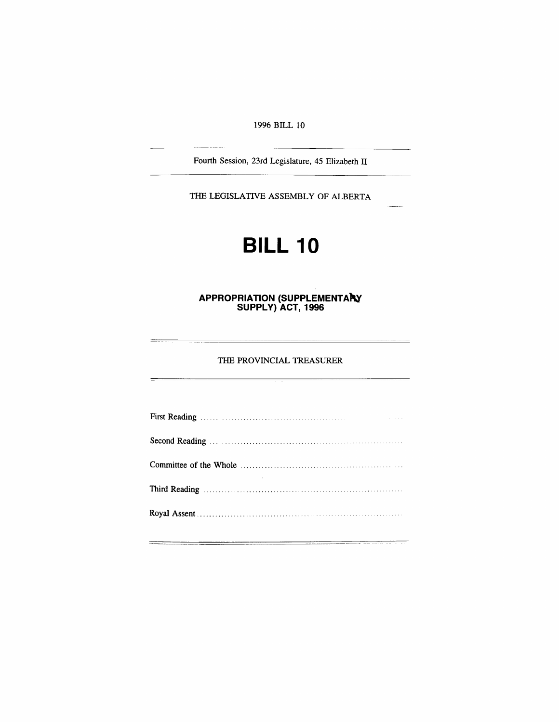*1996 BILL 10*

*Fourth Session, 23rd Legislature, 45 Elizabeth II*

*THE LEGISLATIVE ASSEMBLY OF ALBERTA*

# *BILL 10*

#### *APPROPRIATION (SUPPLEMENTARY SUPPLY) ACT, 1996*

*THE PROVINCIAL TREASURER*

 $\overline{\phantom{0}}$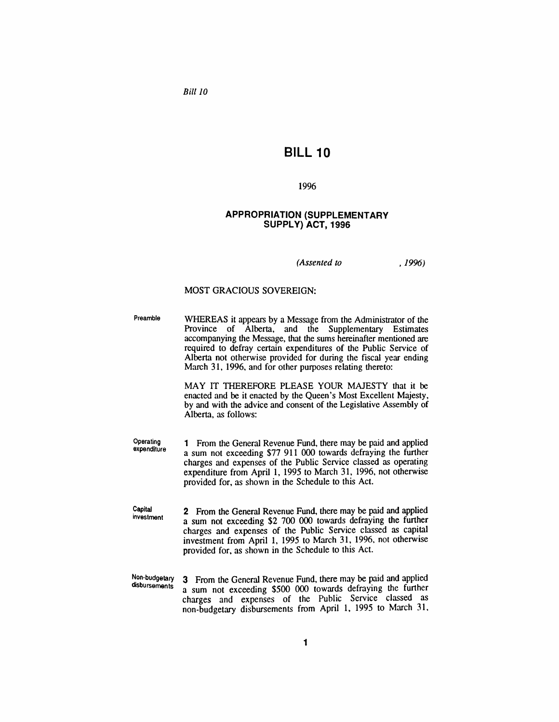*Bill 10*

## *BILL 10*

#### *1996*

#### *APPROPRIATION (SUPPLEMENTARY SUPPLY) ACT, 1996*

*(Assented to , 1996)*

#### *MOST GRACIOUS SOVEREIGN:*

*Preamble WHEREAS it appears by a Message from the Administrator of the Province of Alberta, and the Supplementary Estimates accompanying the Message, that the sums hereinafter mentioned are required to defray certain expenditures of the Public Service of Alberta not otherwise provided for during the fiscal year ending March 31, 1996, and for other purposes relating thereto:*

> *MAY IT THEREFORE PLEASE YOUR MAJESTY that it be enacted and be it enacted by the Queen's Most Excellent Majesty, by and with the advice and consent of the Legislative Assembly of Alberta, as follows:*

- *Operating expenditure 1 From the General Revenue Fund, there may be paid and applied a sum not exceeding \$77 911 000 towards defraying the further charges and expenses of the Public Service classed as operating expenditure from April 1, 1995 to March 31, 1996, not otherwise provided for, as shown in the Schedule to this Act.*
- *Capital investment 2 From the General Revenue Fund, there may be paid and applied a sum not exceeding \$2 700 000 towards defraying the further charges and expenses of the Public Service classed as capital investment from April 1, 1995 to March 31, 1996, not otherwise provided for, as shown in the Schedule to this Act.*
- *Non-budgetary disbursements 3 From the General Revenue Fund, there may be paid and applied a sum not exceeding \$500 000 towards defraying the further charges and expenses of the Public Service classed as non-budgetary disbursements from April 1, 1995 to March 31,*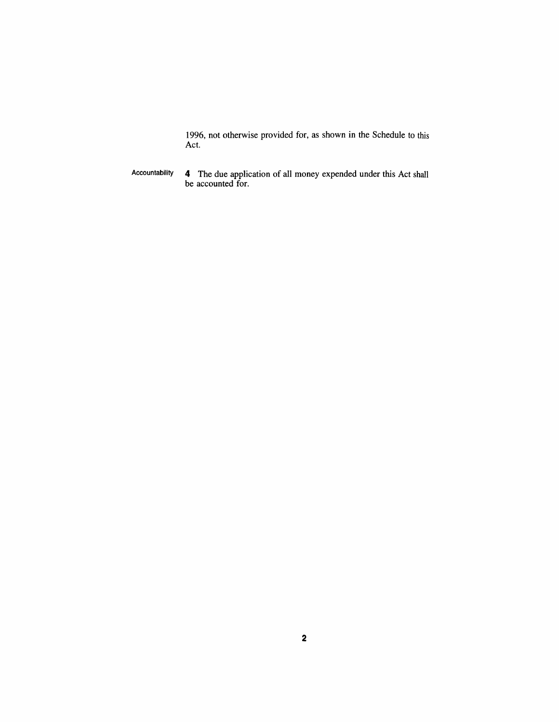*1996, not otherwise provided for, as shown in the Schedule to this Act.*

*Accountability 4 The due application of all money expended under this Act shall be accounted for.*